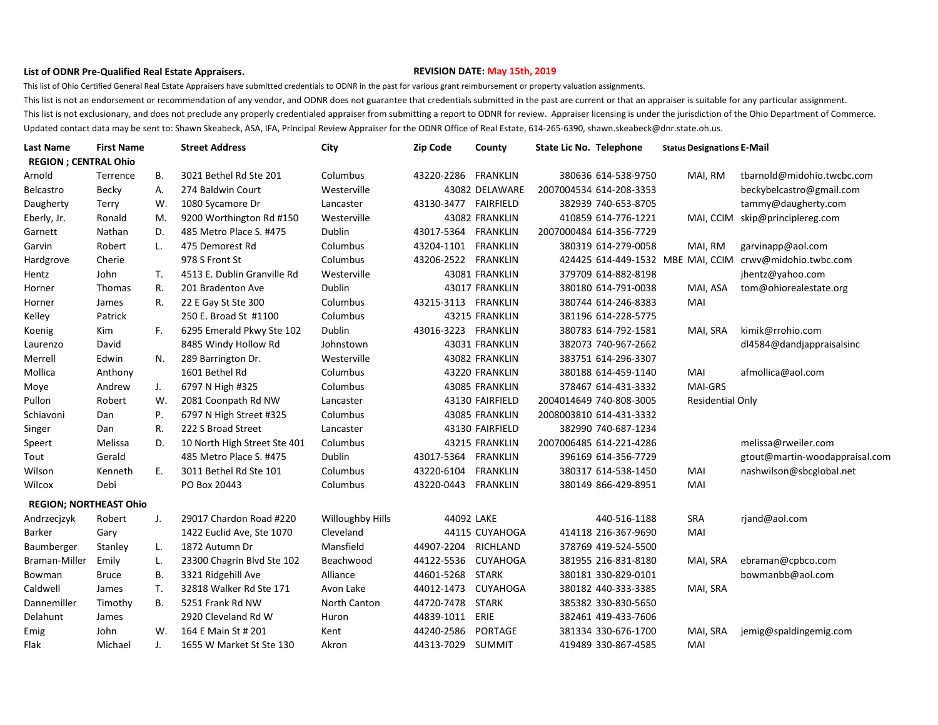## **List of ODNR Pre-Qualified Real Estate Appraisers. REVISION DATE: May 15th, 2019**

This list of Ohio Certified General Real Estate Appraisers have submitted credentials to ODNR in the past for various grant reimbursement or property valuation assignments.

This list is not an endorsement or recommendation of any vendor, and ODNR does not guarantee that credentials submitted in the past are current or that an appraiser is suitable for any particular assignment. This list is not exclusionary, and does not preclude any properly credentialed appraiser from submitting a report to ODNR for review. Appraiser licensing is under the jurisdiction of the Ohio Department of Commerce. Updated contact data may be sent to: Shawn Skeabeck, ASA, IFA, Principal Review Appraiser for the ODNR Office of Real Estate, 614-265-6390, shawn.skeabeck@dnr.state.oh.us.

| <b>Last Name</b>              | <b>First Name</b> |     | <b>Street Address</b>        | City                    | <b>Zip Code</b>      | County          | State Lic No. Telephone |                         | <b>Status Designations E-Mail</b> |                                |
|-------------------------------|-------------------|-----|------------------------------|-------------------------|----------------------|-----------------|-------------------------|-------------------------|-----------------------------------|--------------------------------|
| <b>REGION ; CENTRAL Ohio</b>  |                   |     |                              |                         |                      |                 |                         |                         |                                   |                                |
| Arnold                        | Terrence          | В.  | 3021 Bethel Rd Ste 201       | Columbus                | 43220-2286 FRANKLIN  |                 |                         | 380636 614-538-9750     | MAI, RM                           | tbarnold@midohio.twcbc.com     |
| <b>Belcastro</b>              | Becky             | А.  | 274 Baldwin Court            | Westerville             |                      | 43082 DELAWARE  |                         | 2007004534 614-208-3353 |                                   | beckybelcastro@gmail.com       |
| Daugherty                     | Terry             | W.  | 1080 Sycamore Dr             | Lancaster               | 43130-3477 FAIRFIELD |                 |                         | 382939 740-653-8705     |                                   | tammy@daugherty.com            |
| Eberly, Jr.                   | Ronald            | М.  | 9200 Worthington Rd #150     | Westerville             |                      | 43082 FRANKLIN  |                         | 410859 614-776-1221     | MAI, CCIM                         | skip@principlereg.com          |
| Garnett                       | Nathan            | D.  | 485 Metro Place S. #475      | Dublin                  | 43017-5364 FRANKLIN  |                 |                         | 2007000484 614-356-7729 |                                   |                                |
| Garvin                        | Robert            | L.  | 475 Demorest Rd              | Columbus                | 43204-1101           | <b>FRANKLIN</b> |                         | 380319 614-279-0058     | MAI, RM                           | garvinapp@aol.com              |
| Hardgrove                     | Cherie            |     | 978 S Front St               | Columbus                | 43206-2522 FRANKLIN  |                 |                         |                         | 424425 614-449-1532 MBE MAI, CCIM | crwv@midohio.twbc.com          |
| Hentz                         | John              | Т.  | 4513 E. Dublin Granville Rd  | Westerville             |                      | 43081 FRANKLIN  |                         | 379709 614-882-8198     |                                   | jhentz@yahoo.com               |
| Horner                        | <b>Thomas</b>     | R.  | 201 Bradenton Ave            | Dublin                  |                      | 43017 FRANKLIN  |                         | 380180 614-791-0038     | MAI, ASA                          | tom@ohiorealestate.org         |
| Horner                        | James             | R.  | 22 E Gay St Ste 300          | Columbus                | 43215-3113 FRANKLIN  |                 |                         | 380744 614-246-8383     | MAI                               |                                |
| Kelley                        | Patrick           |     | 250 E. Broad St #1100        | Columbus                |                      | 43215 FRANKLIN  |                         | 381196 614-228-5775     |                                   |                                |
| Koenig                        | Kim               | F., | 6295 Emerald Pkwy Ste 102    | Dublin                  | 43016-3223 FRANKLIN  |                 |                         | 380783 614-792-1581     | MAI, SRA                          | kimik@rrohio.com               |
| Laurenzo                      | David             |     | 8485 Windy Hollow Rd         | Johnstown               |                      | 43031 FRANKLIN  |                         | 382073 740-967-2662     |                                   | dl4584@dandjappraisalsinc      |
| Merrell                       | Edwin             | N.  | 289 Barrington Dr.           | Westerville             |                      | 43082 FRANKLIN  |                         | 383751 614-296-3307     |                                   |                                |
| Mollica                       | Anthony           |     | 1601 Bethel Rd               | Columbus                |                      | 43220 FRANKLIN  |                         | 380188 614-459-1140     | MAI                               | afmollica@aol.com              |
| Moye                          | Andrew            | J.  | 6797 N High #325             | Columbus                |                      | 43085 FRANKLIN  |                         | 378467 614-431-3332     | MAI-GRS                           |                                |
| Pullon                        | Robert            | W.  | 2081 Coonpath Rd NW          | Lancaster               |                      | 43130 FAIRFIELD |                         | 2004014649 740-808-3005 | <b>Residential Only</b>           |                                |
| Schiavoni                     | Dan               | Ρ.  | 6797 N High Street #325      | Columbus                |                      | 43085 FRANKLIN  |                         | 2008003810 614-431-3332 |                                   |                                |
| Singer                        | Dan               | R.  | 222 S Broad Street           | Lancaster               |                      | 43130 FAIRFIELD |                         | 382990 740-687-1234     |                                   |                                |
| Speert                        | Melissa           | D.  | 10 North High Street Ste 401 | Columbus                |                      | 43215 FRANKLIN  |                         | 2007006485 614-221-4286 |                                   | melissa@rweiler.com            |
| Tout                          | Gerald            |     | 485 Metro Place S. #475      | Dublin                  | 43017-5364           | <b>FRANKLIN</b> |                         | 396169 614-356-7729     |                                   | gtout@martin-woodappraisal.com |
| Wilson                        | Kenneth           | Е.  | 3011 Bethel Rd Ste 101       | Columbus                | 43220-6104           | <b>FRANKLIN</b> |                         | 380317 614-538-1450     | MAI                               | nashwilson@sbcglobal.net       |
| Wilcox                        | Debi              |     | PO Box 20443                 | Columbus                | 43220-0443           | FRANKLIN        |                         | 380149 866-429-8951     | MAI                               |                                |
| <b>REGION; NORTHEAST Ohio</b> |                   |     |                              |                         |                      |                 |                         |                         |                                   |                                |
| Andrzecjzyk                   | Robert            | J.  | 29017 Chardon Road #220      | <b>Willoughby Hills</b> | 44092 LAKE           |                 |                         | 440-516-1188            | <b>SRA</b>                        | rjand@aol.com                  |
| Barker                        | Gary              |     | 1422 Euclid Ave, Ste 1070    | Cleveland               |                      | 44115 CUYAHOGA  |                         | 414118 216-367-9690     | MAI                               |                                |
| Baumberger                    | Stanley           | L.  | 1872 Autumn Dr               | Mansfield               | 44907-2204           | RICHLAND        |                         | 378769 419-524-5500     |                                   |                                |
| Braman-Miller                 | Emily             | L.  | 23300 Chagrin Blvd Ste 102   | Beachwood               | 44122-5536           | CUYAHOGA        |                         | 381955 216-831-8180     | MAI, SRA                          | ebraman@cpbco.com              |
| Bowman                        | Bruce             | В.  | 3321 Ridgehill Ave           | Alliance                | 44601-5268           | STARK           |                         | 380181 330-829-0101     |                                   | bowmanbb@aol.com               |
| Caldwell                      | James             | т.  | 32818 Walker Rd Ste 171      | Avon Lake               | 44012-1473 CUYAHOGA  |                 |                         | 380182 440-333-3385     | MAI, SRA                          |                                |
| Dannemiller                   | Timothy           | В.  | 5251 Frank Rd NW             | North Canton            | 44720-7478 STARK     |                 |                         | 385382 330-830-5650     |                                   |                                |
| Delahunt                      | James             |     | 2920 Cleveland Rd W          | Huron                   | 44839-1011           | ERIE            |                         | 382461 419-433-7606     |                                   |                                |
| Emig                          | John              | W.  | 164 E Main St # 201          | Kent                    | 44240-2586           | PORTAGE         |                         | 381334 330-676-1700     | MAI, SRA                          | jemig@spaldingemig.com         |
| Flak                          | Michael           | J.  | 1655 W Market St Ste 130     | Akron                   | 44313-7029 SUMMIT    |                 |                         | 419489 330-867-4585     | MAI                               |                                |
|                               |                   |     |                              |                         |                      |                 |                         |                         |                                   |                                |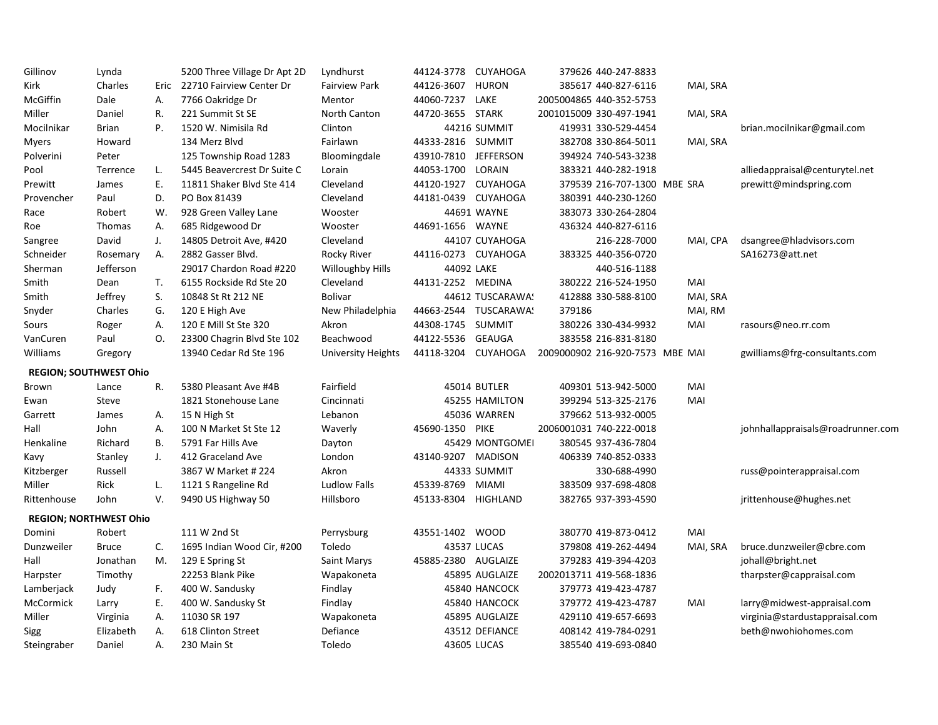| Gillinov    | Lynda                         |    | 5200 Three Village Dr Apt 2D  | Lyndhurst            | 44124-3778           | <b>CUYAHOGA</b>       | 379626 440-247-8833             |          |                                   |
|-------------|-------------------------------|----|-------------------------------|----------------------|----------------------|-----------------------|---------------------------------|----------|-----------------------------------|
| Kirk        | Charles                       |    | Eric 22710 Fairview Center Dr | <b>Fairview Park</b> | 44126-3607           | <b>HURON</b>          | 385617 440-827-6116             | MAI, SRA |                                   |
| McGiffin    | Dale                          | Α. | 7766 Oakridge Dr              | Mentor               | 44060-7237 LAKE      |                       | 2005004865 440-352-5753         |          |                                   |
| Miller      | Daniel                        | R. | 221 Summit St SE              | North Canton         | 44720-3655 STARK     |                       | 2001015009 330-497-1941         | MAI, SRA |                                   |
| Mocilnikar  | <b>Brian</b>                  | P. | 1520 W. Nimisila Rd           | Clinton              |                      | 44216 SUMMIT          | 419931 330-529-4454             |          | brian.mocilnikar@gmail.com        |
| Myers       | Howard                        |    | 134 Merz Blvd                 | Fairlawn             | 44333-2816 SUMMIT    |                       | 382708 330-864-5011             | MAI, SRA |                                   |
| Polverini   | Peter                         |    | 125 Township Road 1283        | Bloomingdale         | 43910-7810 JEFFERSON |                       | 394924 740-543-3238             |          |                                   |
| Pool        | Terrence                      | L. | 5445 Beavercrest Dr Suite C   | Lorain               | 44053-1700 LORAIN    |                       | 383321 440-282-1918             |          | alliedappraisal@centurytel.net    |
| Prewitt     | James                         | Ε. | 11811 Shaker Blvd Ste 414     | Cleveland            | 44120-1927           | <b>CUYAHOGA</b>       | 379539 216-707-1300 MBE SRA     |          | prewitt@mindspring.com            |
| Provencher  | Paul                          | D. | PO Box 81439                  | Cleveland            |                      | 44181-0439 CUYAHOGA   | 380391 440-230-1260             |          |                                   |
| Race        | Robert                        | W. | 928 Green Valley Lane         | Wooster              |                      | 44691 WAYNE           | 383073 330-264-2804             |          |                                   |
| Roe         | <b>Thomas</b>                 | Α. | 685 Ridgewood Dr              | Wooster              | 44691-1656 WAYNE     |                       | 436324 440-827-6116             |          |                                   |
| Sangree     | David                         | J. | 14805 Detroit Ave, #420       | Cleveland            |                      | 44107 CUYAHOGA        | 216-228-7000                    | MAI, CPA | dsangree@hladvisors.com           |
| Schneider   | Rosemary                      | Α. | 2882 Gasser Blvd.             | Rocky River          |                      | 44116-0273 CUYAHOGA   | 383325 440-356-0720             |          | SA16273@att.net                   |
| Sherman     | Jefferson                     |    | 29017 Chardon Road #220       | Willoughby Hills     |                      | 44092 LAKE            | 440-516-1188                    |          |                                   |
| Smith       | Dean                          | T. | 6155 Rockside Rd Ste 20       | Cleveland            | 44131-2252 MEDINA    |                       | 380222 216-524-1950             | MAI      |                                   |
| Smith       | Jeffrey                       | S. | 10848 St Rt 212 NE            | <b>Bolivar</b>       |                      | 44612 TUSCARAWA!      | 412888 330-588-8100             | MAI, SRA |                                   |
| Snyder      | Charles                       | G. | 120 E High Ave                | New Philadelphia     |                      | 44663-2544 TUSCARAWA! | 379186                          | MAI, RM  |                                   |
| Sours       | Roger                         | А. | 120 E Mill St Ste 320         | Akron                | 44308-1745 SUMMIT    |                       | 380226 330-434-9932             | MAI      | rasours@neo.rr.com                |
| VanCuren    | Paul                          | 0. | 23300 Chagrin Blvd Ste 102    | Beachwood            | 44122-5536 GEAUGA    |                       | 383558 216-831-8180             |          |                                   |
| Williams    | Gregory                       |    | 13940 Cedar Rd Ste 196        | University Heights   | 44118-3204           | <b>CUYAHOGA</b>       | 2009000902 216-920-7573 MBE MAI |          | gwilliams@frg-consultants.com     |
|             | <b>REGION: SOUTHWEST Ohio</b> |    |                               |                      |                      |                       |                                 |          |                                   |
| Brown       | Lance                         | R. | 5380 Pleasant Ave #4B         | Fairfield            |                      | 45014 BUTLER          | 409301 513-942-5000             | MAI      |                                   |
| Ewan        | Steve                         |    | 1821 Stonehouse Lane          | Cincinnati           |                      | 45255 HAMILTON        | 399294 513-325-2176             | MAI      |                                   |
| Garrett     | James                         | А. | 15 N High St                  | Lebanon              |                      | 45036 WARREN          | 379662 513-932-0005             |          |                                   |
| Hall        | John                          | Α. | 100 N Market St Ste 12        | Waverly              | 45690-1350 PIKE      |                       | 2006001031 740-222-0018         |          | johnhallappraisals@roadrunner.com |
| Henkaline   | Richard                       | В. | 5791 Far Hills Ave            | Dayton               |                      | 45429 MONTGOMEI       | 380545 937-436-7804             |          |                                   |
| Kavy        | Stanley                       | J. | 412 Graceland Ave             | London               | 43140-9207 MADISON   |                       | 406339 740-852-0333             |          |                                   |
| Kitzberger  | Russell                       |    | 3867 W Market # 224           | Akron                |                      | 44333 SUMMIT          | 330-688-4990                    |          | russ@pointerappraisal.com         |
| Miller      | Rick                          | L. | 1121 S Rangeline Rd           | Ludlow Falls         | 45339-8769 MIAMI     |                       | 383509 937-698-4808             |          |                                   |
| Rittenhouse | John                          | V. | 9490 US Highway 50            | Hillsboro            | 45133-8304 HIGHLAND  |                       | 382765 937-393-4590             |          | jrittenhouse@hughes.net           |
|             | <b>REGION; NORTHWEST Ohio</b> |    |                               |                      |                      |                       |                                 |          |                                   |
| Domini      | Robert                        |    | 111 W 2nd St                  | Perrysburg           | 43551-1402 WOOD      |                       | 380770 419-873-0412             | MAI      |                                   |
| Dunzweiler  | <b>Bruce</b>                  | C. | 1695 Indian Wood Cir, #200    | Toledo               |                      | 43537 LUCAS           | 379808 419-262-4494             | MAI, SRA | bruce.dunzweiler@cbre.com         |
| Hall        | Jonathan                      | M. | 129 E Spring St               | Saint Marys          | 45885-2380 AUGLAIZE  |                       | 379283 419-394-4203             |          | johall@bright.net                 |
| Harpster    | Timothy                       |    | 22253 Blank Pike              | Wapakoneta           |                      | 45895 AUGLAIZE        | 2002013711 419-568-1836         |          | tharpster@cappraisal.com          |
| Lamberjack  | Judy                          | F. | 400 W. Sandusky               | Findlay              |                      | 45840 HANCOCK         | 379773 419-423-4787             |          |                                   |
| McCormick   | Larry                         | Ε. | 400 W. Sandusky St            | Findlay              |                      | 45840 HANCOCK         | 379772 419-423-4787             | MAI      | larry@midwest-appraisal.com       |
| Miller      | Virginia                      | А. | 11030 SR 197                  | Wapakoneta           |                      | 45895 AUGLAIZE        | 429110 419-657-6693             |          | virginia@stardustappraisal.com    |
| Sigg        | Elizabeth                     | А. | 618 Clinton Street            | Defiance             |                      | 43512 DEFIANCE        | 408142 419-784-0291             |          | beth@nwohiohomes.com              |
| Steingraber | Daniel                        | А. | 230 Main St                   | Toledo               |                      | 43605 LUCAS           | 385540 419-693-0840             |          |                                   |
|             |                               |    |                               |                      |                      |                       |                                 |          |                                   |